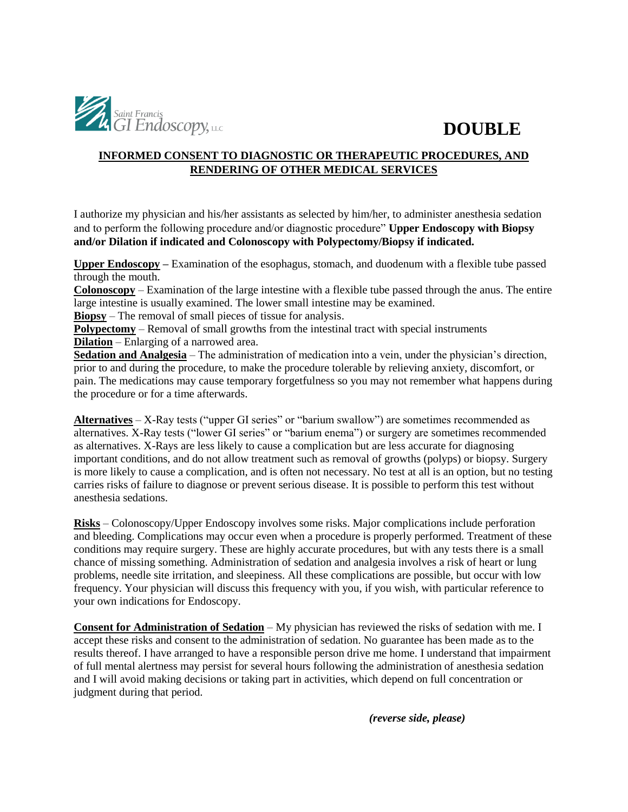

## **DOUBLE**

### **INFORMED CONSENT TO DIAGNOSTIC OR THERAPEUTIC PROCEDURES, AND RENDERING OF OTHER MEDICAL SERVICES**

I authorize my physician and his/her assistants as selected by him/her, to administer anesthesia sedation and to perform the following procedure and/or diagnostic procedure" **Upper Endoscopy with Biopsy and/or Dilation if indicated and Colonoscopy with Polypectomy/Biopsy if indicated.** 

**Upper Endoscopy –** Examination of the esophagus, stomach, and duodenum with a flexible tube passed through the mouth.

**Colonoscopy** – Examination of the large intestine with a flexible tube passed through the anus. The entire large intestine is usually examined. The lower small intestine may be examined.

**Biopsy** – The removal of small pieces of tissue for analysis.

**Polypectomy** – Removal of small growths from the intestinal tract with special instruments **Dilation** – Enlarging of a narrowed area.

**Sedation and Analgesia** – The administration of medication into a vein, under the physician's direction, prior to and during the procedure, to make the procedure tolerable by relieving anxiety, discomfort, or pain. The medications may cause temporary forgetfulness so you may not remember what happens during the procedure or for a time afterwards.

**Alternatives** – X-Ray tests ("upper GI series" or "barium swallow") are sometimes recommended as alternatives. X-Ray tests ("lower GI series" or "barium enema") or surgery are sometimes recommended as alternatives. X-Rays are less likely to cause a complication but are less accurate for diagnosing important conditions, and do not allow treatment such as removal of growths (polyps) or biopsy. Surgery is more likely to cause a complication, and is often not necessary. No test at all is an option, but no testing carries risks of failure to diagnose or prevent serious disease. It is possible to perform this test without anesthesia sedations.

**Risks** – Colonoscopy/Upper Endoscopy involves some risks. Major complications include perforation and bleeding. Complications may occur even when a procedure is properly performed. Treatment of these conditions may require surgery. These are highly accurate procedures, but with any tests there is a small chance of missing something. Administration of sedation and analgesia involves a risk of heart or lung problems, needle site irritation, and sleepiness. All these complications are possible, but occur with low frequency. Your physician will discuss this frequency with you, if you wish, with particular reference to your own indications for Endoscopy.

**Consent for Administration of Sedation** – My physician has reviewed the risks of sedation with me. I accept these risks and consent to the administration of sedation. No guarantee has been made as to the results thereof. I have arranged to have a responsible person drive me home. I understand that impairment of full mental alertness may persist for several hours following the administration of anesthesia sedation and I will avoid making decisions or taking part in activities, which depend on full concentration or judgment during that period.

*(reverse side, please)*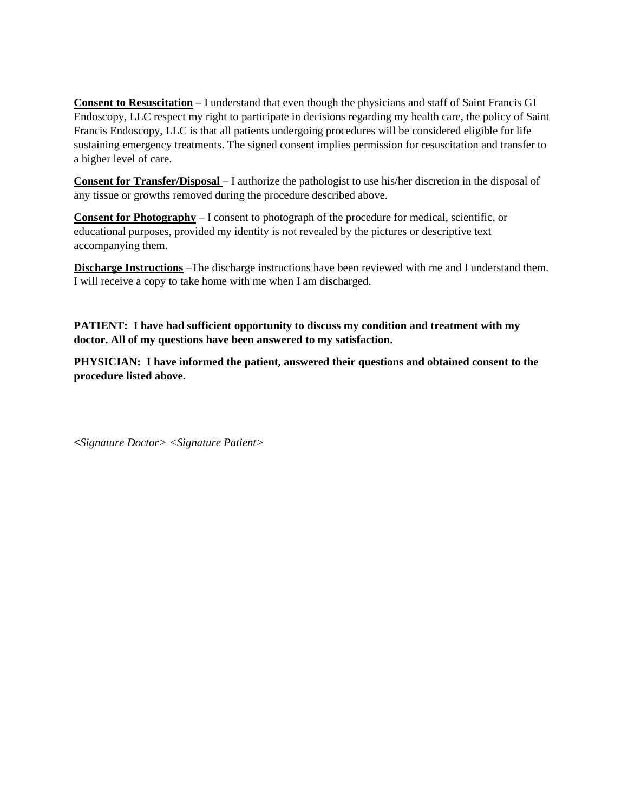**Consent to Resuscitation** – I understand that even though the physicians and staff of Saint Francis GI Endoscopy, LLC respect my right to participate in decisions regarding my health care, the policy of Saint Francis Endoscopy, LLC is that all patients undergoing procedures will be considered eligible for life sustaining emergency treatments. The signed consent implies permission for resuscitation and transfer to a higher level of care.

**Consent for Transfer/Disposal** – I authorize the pathologist to use his/her discretion in the disposal of any tissue or growths removed during the procedure described above.

**Consent for Photography** – I consent to photograph of the procedure for medical, scientific, or educational purposes, provided my identity is not revealed by the pictures or descriptive text accompanying them.

**Discharge Instructions** –The discharge instructions have been reviewed with me and I understand them. I will receive a copy to take home with me when I am discharged.

**PATIENT: I have had sufficient opportunity to discuss my condition and treatment with my doctor. All of my questions have been answered to my satisfaction.** 

**PHYSICIAN: I have informed the patient, answered their questions and obtained consent to the procedure listed above.** 

*<Signature Doctor> <Signature Patient>*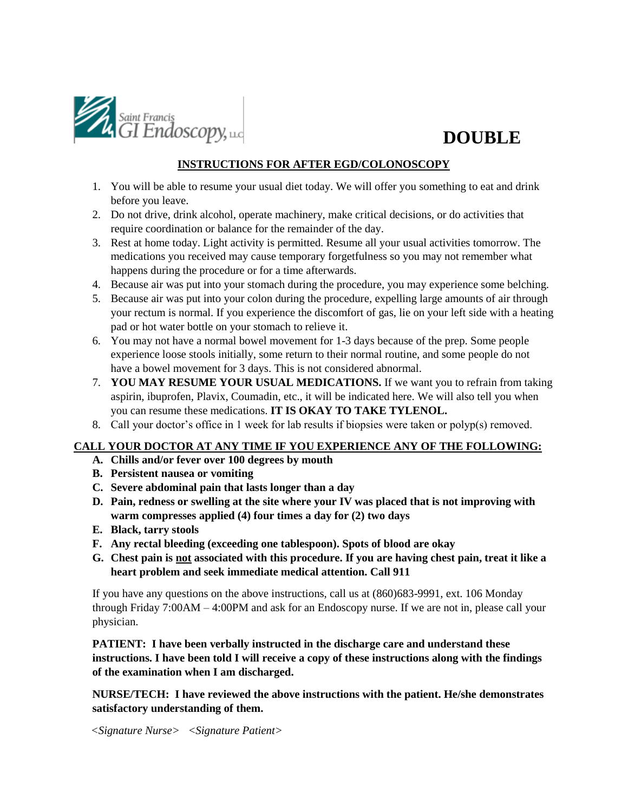

## **DOUBLE**

#### **INSTRUCTIONS FOR AFTER EGD/COLONOSCOPY**

- 1. You will be able to resume your usual diet today. We will offer you something to eat and drink before you leave.
- 2. Do not drive, drink alcohol, operate machinery, make critical decisions, or do activities that require coordination or balance for the remainder of the day.
- 3. Rest at home today. Light activity is permitted. Resume all your usual activities tomorrow. The medications you received may cause temporary forgetfulness so you may not remember what happens during the procedure or for a time afterwards.
- 4. Because air was put into your stomach during the procedure, you may experience some belching.
- 5. Because air was put into your colon during the procedure, expelling large amounts of air through your rectum is normal. If you experience the discomfort of gas, lie on your left side with a heating pad or hot water bottle on your stomach to relieve it.
- 6. You may not have a normal bowel movement for 1-3 days because of the prep. Some people experience loose stools initially, some return to their normal routine, and some people do not have a bowel movement for 3 days. This is not considered abnormal.
- 7. **YOU MAY RESUME YOUR USUAL MEDICATIONS.** If we want you to refrain from taking aspirin, ibuprofen, Plavix, Coumadin, etc., it will be indicated here. We will also tell you when you can resume these medications. **IT IS OKAY TO TAKE TYLENOL.**
- 8. Call your doctor's office in 1 week for lab results if biopsies were taken or polyp(s) removed.

### **CALL YOUR DOCTOR AT ANY TIME IF YOU EXPERIENCE ANY OF THE FOLLOWING:**

- **A. Chills and/or fever over 100 degrees by mouth**
- **B. Persistent nausea or vomiting**
- **C. Severe abdominal pain that lasts longer than a day**
- **D. Pain, redness or swelling at the site where your IV was placed that is not improving with warm compresses applied (4) four times a day for (2) two days**
- **E. Black, tarry stools**
- **F. Any rectal bleeding (exceeding one tablespoon). Spots of blood are okay**
- **G. Chest pain is not associated with this procedure. If you are having chest pain, treat it like a heart problem and seek immediate medical attention. Call 911**

If you have any questions on the above instructions, call us at (860)683-9991, ext. 106 Monday through Friday 7:00AM – 4:00PM and ask for an Endoscopy nurse. If we are not in, please call your physician.

**PATIENT: I have been verbally instructed in the discharge care and understand these instructions. I have been told I will receive a copy of these instructions along with the findings of the examination when I am discharged.** 

**NURSE/TECH: I have reviewed the above instructions with the patient. He/she demonstrates satisfactory understanding of them.** 

*<Signature Nurse> <Signature Patient>*